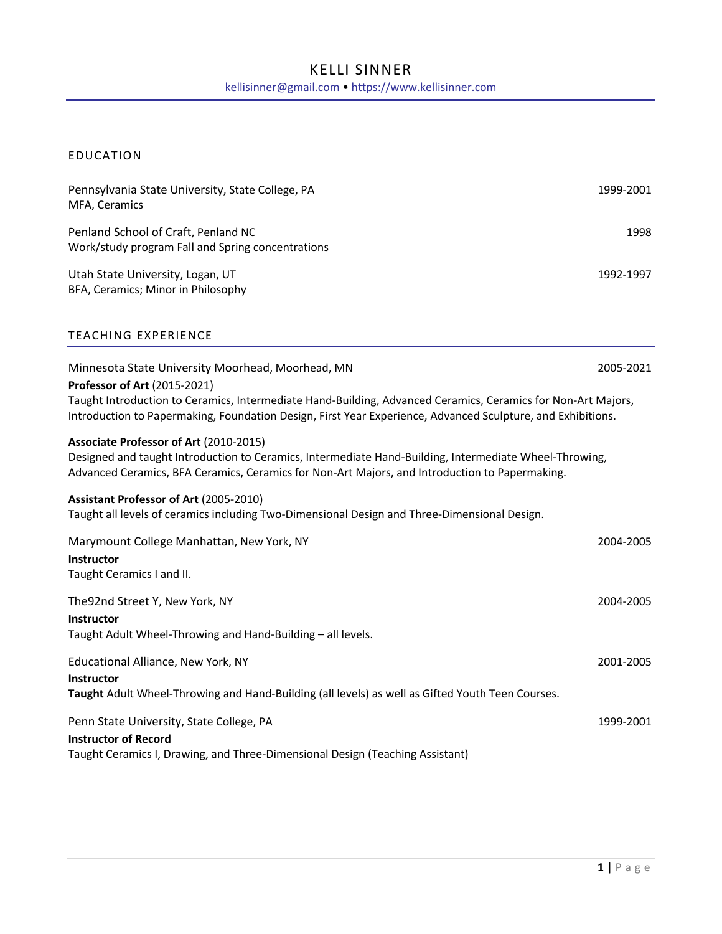# KELLI SINNER kellisinner@gmail.com • https://www.kellisinner.com

# EDUCATION

| Pennsylvania State University, State College, PA<br>MFA, Ceramics                                                                                                                                                                                                                                                | 1999-2001 |
|------------------------------------------------------------------------------------------------------------------------------------------------------------------------------------------------------------------------------------------------------------------------------------------------------------------|-----------|
| Penland School of Craft, Penland NC<br>Work/study program Fall and Spring concentrations                                                                                                                                                                                                                         | 1998      |
| Utah State University, Logan, UT<br>BFA, Ceramics; Minor in Philosophy                                                                                                                                                                                                                                           | 1992-1997 |
| <b>TEACHING EXPERIENCE</b>                                                                                                                                                                                                                                                                                       |           |
| Minnesota State University Moorhead, Moorhead, MN<br>Professor of Art (2015-2021)<br>Taught Introduction to Ceramics, Intermediate Hand-Building, Advanced Ceramics, Ceramics for Non-Art Majors,<br>Introduction to Papermaking, Foundation Design, First Year Experience, Advanced Sculpture, and Exhibitions. | 2005-2021 |
| Associate Professor of Art (2010-2015)<br>Designed and taught Introduction to Ceramics, Intermediate Hand-Building, Intermediate Wheel-Throwing,<br>Advanced Ceramics, BFA Ceramics, Ceramics for Non-Art Majors, and Introduction to Papermaking.                                                               |           |
| Assistant Professor of Art (2005-2010)<br>Taught all levels of ceramics including Two-Dimensional Design and Three-Dimensional Design.                                                                                                                                                                           |           |
| Marymount College Manhattan, New York, NY<br>Instructor<br>Taught Ceramics I and II.                                                                                                                                                                                                                             | 2004-2005 |
| The92nd Street Y, New York, NY<br><b>Instructor</b><br>Taught Adult Wheel-Throwing and Hand-Building - all levels.                                                                                                                                                                                               | 2004-2005 |
| Educational Alliance, New York, NY<br><b>Instructor</b><br>Taught Adult Wheel-Throwing and Hand-Building (all levels) as well as Gifted Youth Teen Courses.                                                                                                                                                      | 2001-2005 |
| Penn State University, State College, PA<br><b>Instructor of Record</b><br>Taught Ceramics I, Drawing, and Three-Dimensional Design (Teaching Assistant)                                                                                                                                                         | 1999-2001 |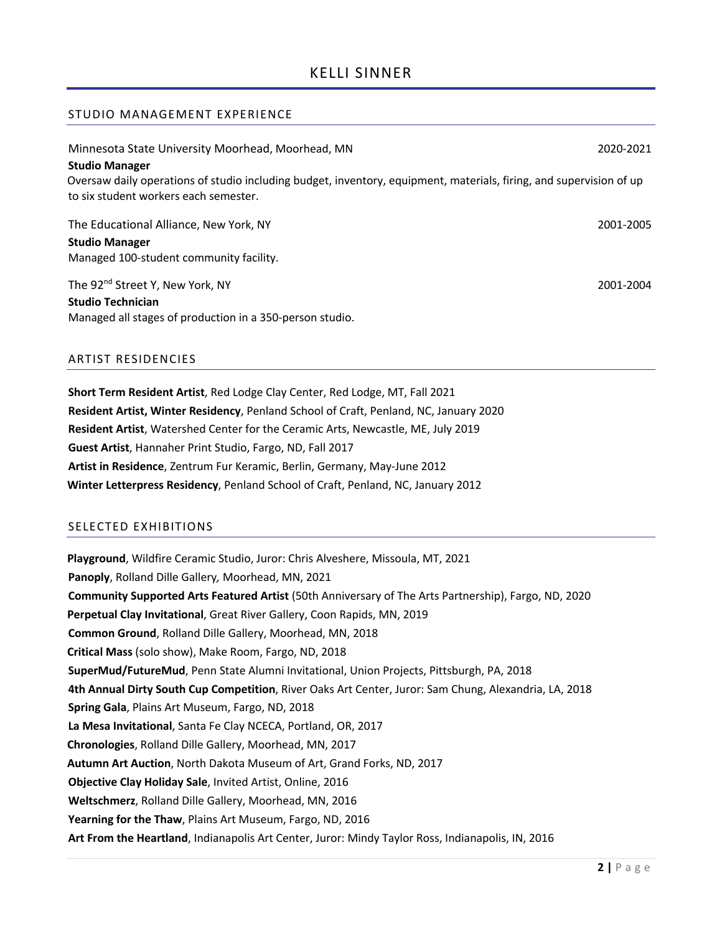### STUDIO MANAGEMENT EXPERIENCE

| Minnesota State University Moorhead, Moorhead, MN                                                                                                                                     | 2020-2021 |
|---------------------------------------------------------------------------------------------------------------------------------------------------------------------------------------|-----------|
| <b>Studio Manager</b><br>Oversaw daily operations of studio including budget, inventory, equipment, materials, firing, and supervision of up<br>to six student workers each semester. |           |
| The Educational Alliance, New York, NY                                                                                                                                                | 2001-2005 |
| <b>Studio Manager</b>                                                                                                                                                                 |           |
| Managed 100-student community facility.                                                                                                                                               |           |
| The 92 <sup>nd</sup> Street Y, New York, NY                                                                                                                                           | 2001-2004 |
| <b>Studio Technician</b>                                                                                                                                                              |           |
| Managed all stages of production in a 350-person studio.                                                                                                                              |           |
|                                                                                                                                                                                       |           |

### ARTIST RESIDENCIES

**Short Term Resident Artist**, Red Lodge Clay Center, Red Lodge, MT, Fall 2021 **Resident Artist, Winter Residency**, Penland School of Craft, Penland, NC, January 2020 **Resident Artist**, Watershed Center for the Ceramic Arts, Newcastle, ME, July 2019 **Guest Artist**, Hannaher Print Studio, Fargo, ND, Fall 2017 **Artist in Residence**, Zentrum Fur Keramic, Berlin, Germany, May-June 2012 **Winter Letterpress Residency**, Penland School of Craft, Penland, NC, January 2012

## SELECTED EXHIBITIONS

**Playground**, Wildfire Ceramic Studio, Juror: Chris Alveshere, Missoula, MT, 2021 **Panoply**, Rolland Dille Gallery*,* Moorhead, MN, 2021 **Community Supported Arts Featured Artist** (50th Anniversary of The Arts Partnership), Fargo, ND, 2020 **Perpetual Clay Invitational**, Great River Gallery, Coon Rapids, MN, 2019 **Common Ground**, Rolland Dille Gallery, Moorhead, MN, 2018 **Critical Mass** (solo show), Make Room, Fargo, ND, 2018 **SuperMud/FutureMud**, Penn State Alumni Invitational, Union Projects, Pittsburgh, PA, 2018 **4th Annual Dirty South Cup Competition**, River Oaks Art Center, Juror: Sam Chung, Alexandria, LA, 2018 **Spring Gala**, Plains Art Museum, Fargo, ND, 2018 **La Mesa Invitational**, Santa Fe Clay NCECA, Portland, OR, 2017 **Chronologies**, Rolland Dille Gallery, Moorhead, MN, 2017 **Autumn Art Auction**, North Dakota Museum of Art, Grand Forks, ND, 2017 **Objective Clay Holiday Sale**, Invited Artist, Online, 2016 **Weltschmerz**, Rolland Dille Gallery, Moorhead, MN, 2016 **Yearning for the Thaw**, Plains Art Museum, Fargo, ND, 2016 **Art From the Heartland**, Indianapolis Art Center, Juror: Mindy Taylor Ross, Indianapolis, IN, 2016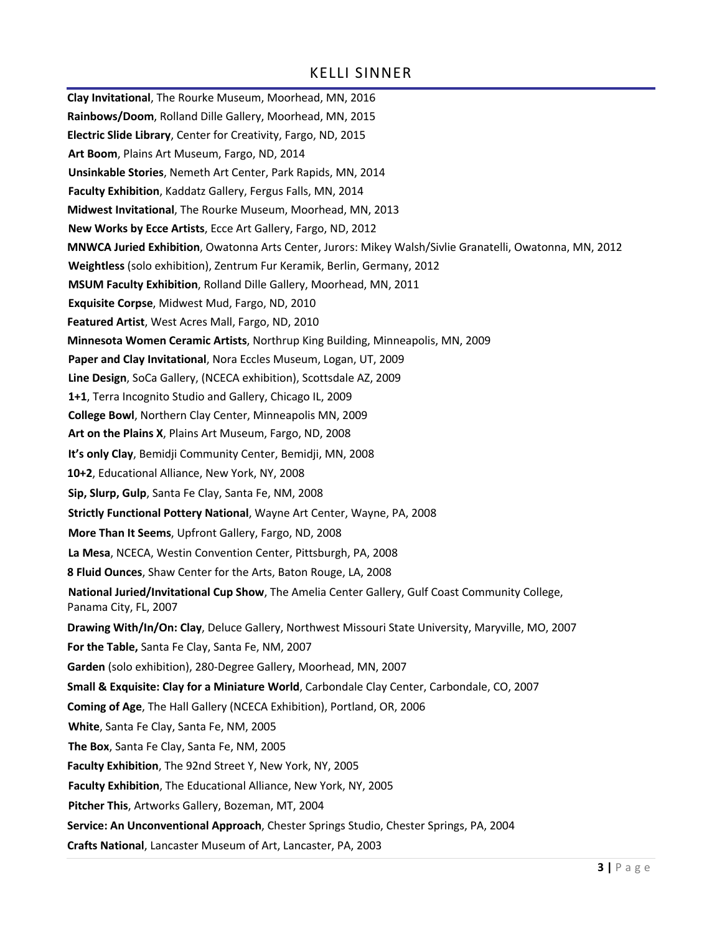## KELLI SINNER

**Clay Invitational**, The Rourke Museum, Moorhead, MN, 2016 **Rainbows/Doom**, Rolland Dille Gallery, Moorhead, MN, 2015 **Electric Slide Library**, Center for Creativity, Fargo, ND, 2015 **Art Boom**, Plains Art Museum, Fargo, ND, 2014 **Unsinkable Stories**, Nemeth Art Center, Park Rapids, MN, 2014 **Faculty Exhibition**, Kaddatz Gallery, Fergus Falls, MN, 2014 **Midwest Invitational**, The Rourke Museum, Moorhead, MN, 2013 **New Works by Ecce Artists**, Ecce Art Gallery, Fargo, ND, 2012 **MNWCA Juried Exhibition**, Owatonna Arts Center, Jurors: Mikey Walsh/Sivlie Granatelli, Owatonna, MN, 2012 **Weightless** (solo exhibition), Zentrum Fur Keramik, Berlin, Germany, 2012 **MSUM Faculty Exhibition**, Rolland Dille Gallery, Moorhead, MN, 2011 **Exquisite Corpse**, Midwest Mud, Fargo, ND, 2010 **Featured Artist**, West Acres Mall, Fargo, ND, 2010 **Minnesota Women Ceramic Artists**, Northrup King Building, Minneapolis, MN, 2009 **Paper and Clay Invitational**, Nora Eccles Museum, Logan, UT, 2009 **Line Design**, SoCa Gallery, (NCECA exhibition), Scottsdale AZ, 2009 **1+1**, Terra Incognito Studio and Gallery, Chicago IL, 2009 **College Bowl**, Northern Clay Center, Minneapolis MN, 2009 **Art on the Plains X**, Plains Art Museum, Fargo, ND, 2008 **It's only Clay**, Bemidji Community Center, Bemidji, MN, 2008 **10+2**, Educational Alliance, New York, NY, 2008 **Sip, Slurp, Gulp**, Santa Fe Clay, Santa Fe, NM, 2008 **Strictly Functional Pottery National**, Wayne Art Center, Wayne, PA, 2008 **More Than It Seems**, Upfront Gallery, Fargo, ND, 2008 **La Mesa**, NCECA, Westin Convention Center, Pittsburgh, PA, 2008 **8 Fluid Ounces**, Shaw Center for the Arts, Baton Rouge, LA, 2008 **National Juried/Invitational Cup Show**, The Amelia Center Gallery, Gulf Coast Community College, Panama City, FL, 2007 **Drawing With/In/On: Clay**, Deluce Gallery, Northwest Missouri State University, Maryville, MO, 2007 **For the Table,** Santa Fe Clay, Santa Fe, NM, 2007 **Garden** (solo exhibition), 280-Degree Gallery, Moorhead, MN, 2007 **Small & Exquisite: Clay for a Miniature World**, Carbondale Clay Center, Carbondale, CO, 2007 **Coming of Age**, The Hall Gallery (NCECA Exhibition), Portland, OR, 2006 **White**, Santa Fe Clay, Santa Fe, NM, 2005 **The Box**, Santa Fe Clay, Santa Fe, NM, 2005 **Faculty Exhibition**, The 92nd Street Y, New York, NY, 2005 **Faculty Exhibition**, The Educational Alliance, New York, NY, 2005 **Pitcher This**, Artworks Gallery, Bozeman, MT, 2004 **Service: An Unconventional Approach**, Chester Springs Studio, Chester Springs, PA, 2004 **Crafts National**, Lancaster Museum of Art, Lancaster, PA, 2003